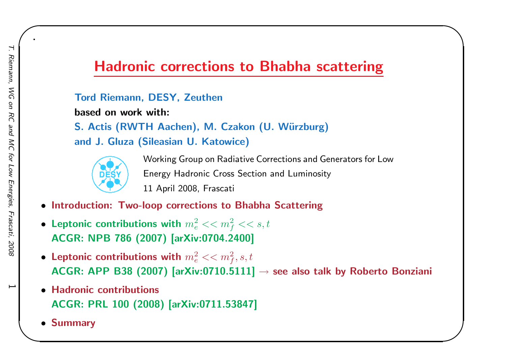## Hadronic corrections to Bhabha scattering

#### Tord Riemann, DESY, Zeuthen

based on work with:

S. Actis (RWTH Aachen), M. Czakon (U. Würzburg) and J. Gluza (Sileasian U. Katowice)



Working Group on Radiative Corrections and Generators for LowEnergy Hadronic Cross Section and Luminosity<sup>11</sup> April 2008, Frascati

 $\begin{matrix} \hline \end{matrix}$ 

- Introduction: Two-loop corrections to Bhabha Scattering
- Leptonic contributions with  $m_e^2 << m_f^2 << s,t$ ACGR: NPB <sup>786</sup> (2007) [arXiv:0704.2400]
- $\bullet$  Leptonic contributions with  $m_e^2 << m_f^2, s, t$ ACGR: APP B38 (2007) [arXiv:0710.5111]  $\rightarrow$  see also talk by Roberto Bonziani
- Hadronic contributions ACGR: PRL <sup>100</sup> (2008) [arXiv:0711.53847]
- Summary

 $\overline{\phantom{0}}$ 

.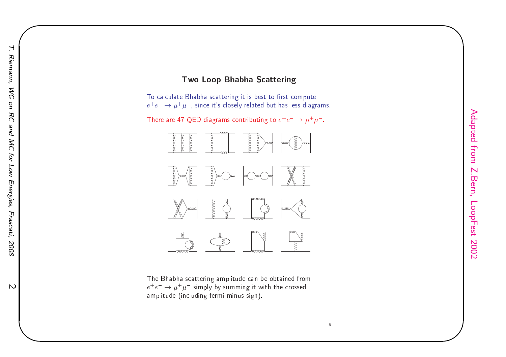### <mark>Two Loop Bhabha Scattering</mark>

To calculate Bhabha scattering it is best to first compute  $e^+e^-\rightarrow \mu^+\mu^-$ , since it's closely related but has less diagrams.

There are 47 QED diagrams contributing to  $e^+e^-\rightarrow \mu^+\mu^-$ .



The Bhabha s
attering amplitude an be obtained from $e^+e^-\rightarrow \mu^+\mu^-$  simply by summing it with the crossed amplitude (including fermi minus sign).

 $\begin{matrix} \hline \end{matrix}$ 

 $\overline{\mathcal{C}}$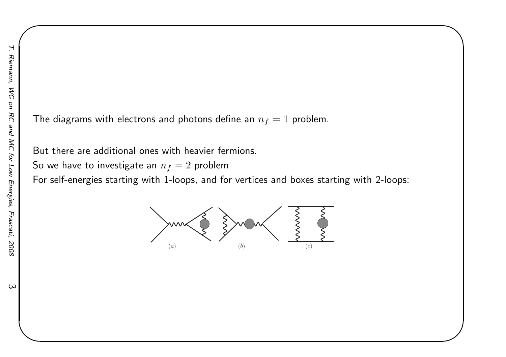The diagrams with electrons and photons define an  $n_f = 1$  problem.

But there are additional ones with heavier fermions.

So we have to investigate an  $n_f = 2$  problem

For self-energies starting with 1-loops, and for vertices and boxes starting with 2-loops:

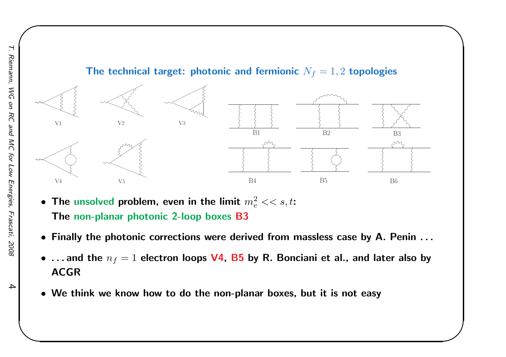

- $\bullet$  The unsolved problem, even in the limit  $m_e^2 << s,t$ : The non-planar photonic 2-loop boxes B3
- Finally the photonic corrections were derived from massless case by A. Penin . . .
- $\bullet\,$  . . . and the  $n_f = 1$  electron loops  ${\sf V4}$ ,  ${\sf B5}$  by R. Bonciani et al., and later also by ACGR
- We think we know how to do the non-planar boxes, but it is not easy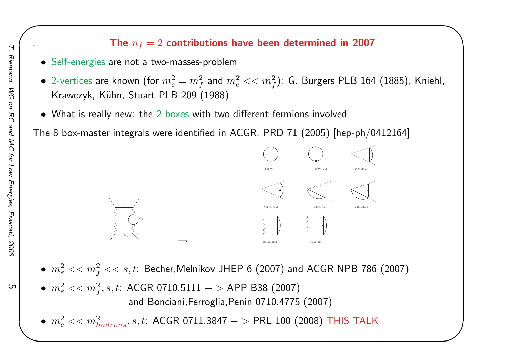## . The  $n_f = 2$  contributions have been determined in 2007

 $\begin{matrix} \hline \end{matrix}$ 

- Self-energies are not <sup>a</sup> two-masses-problem
- $\bullet$  2-vertices are known (for  $m_e^2=m_f^2$  and  $m_e^2<< m_f^2$ ): G. Burgers PLB 164 (1885), Kniehl, Krawczyk, Kühn, Stuart PLB 209 (1988)
- $\bullet\,$  What is really new: the 2-bo $\times$ es with two different fermions involved

The <sup>8</sup> box-master integrals were identified in ACGR, PRD <sup>71</sup> (2005) [hep-ph/0412164]



- $\bullet~~ m_e^2 << m_f^2 << s,t$ : Becher,Melnikov JHEP 6 (2007) and ACGR NPB 786 (2007)
- $\bullet~~ m_e^2 << m_f^2, s, t: \,\, \mathsf{ACGR}$  0710.5111  $>$  APP B38 (2007) and Bonciani,Ferroglia,Penin 0710.4775 (2007)

 $\bullet~~ m_e^2 << m_{hadrons}^2, s, t: \, \mathsf{ACGR~0711.3847} -> \mathsf{PRL~100} \text{ (2008) } \, \mathsf{THIS} \, \mathsf{TALK}$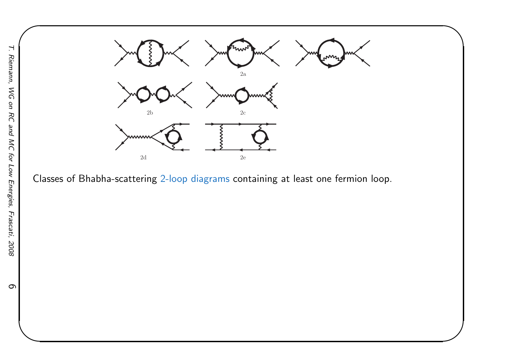

Classes of Bhabha-scattering 2-loop diagrams containing at least one fermion loop.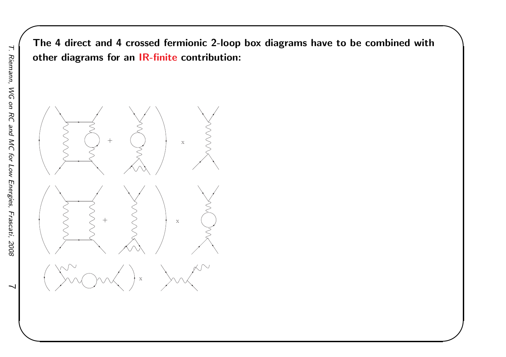The <sup>4</sup> direct and <sup>4</sup> crossed fermionic 2-loop box diagrams have to be combined withother diagrams for an IR-fi<mark>nite</mark> contribution:

 $\begin{matrix} \hline \end{matrix}$ 



 $\overline{\phantom{0}}$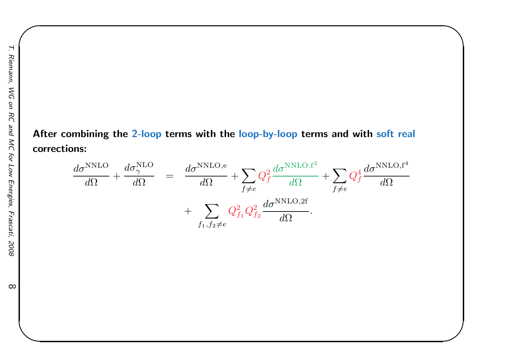After combining the 2-loop terms with the <mark>loop-by-loop</mark> terms and with <mark>so</mark>ft real corrections:

$$
\frac{d\sigma^{\text{NNLO}}}{d\Omega} + \frac{d\sigma^{\text{NLO}}_{\gamma}}{d\Omega} = \frac{d\sigma^{\text{NNLO,e}}}{d\Omega} + \sum_{f \neq e} Q_f^2 \frac{d\sigma^{\text{NNLO,f}^2}}{d\Omega} + \sum_{f \neq e} Q_f^4 \frac{d\sigma^{\text{NNLO,f}^2}}{d\Omega} + \sum_{f_1, f_2 \neq e} Q_{f_1}^2 Q_{f_2}^2 \frac{d\sigma^{\text{NNLO,2f}}}{d\Omega}.
$$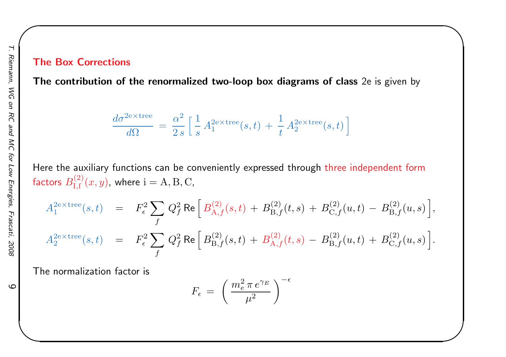#### The Box Corrections

The contribution of the renormalized two-loop box diagrams of class 2e is <sup>g</sup>iven by

 $\begin{matrix} \hline \end{matrix}$ 

$$
\frac{d\sigma^{\rm 2e\times tree}}{d\Omega}\,=\,\frac{\alpha^2}{2\,s}\,\Big[\,\frac{1}{s}\,A_1^{\rm 2e\times tree}(s,t)\,+\,\frac{1}{t}\,A_2^{\rm 2e\times tree}(s,t)\,\Big]
$$

Here the auxiliary functions can be conveniently expressed through <mark>th</mark>ree independent form factors  $B^{(2)}_{{\rm I}, {\rm f}}(x,y)$ , where  ${\rm i=A,B,C,}$ 

$$
A_1^{2 \text{e} \times \text{tree}}(s, t) = F_\epsilon^2 \sum_f Q_f^2 \text{ Re} \left[ B_{\text{A},f}^{(2)}(s, t) + B_{\text{B},f}^{(2)}(t, s) + B_{\text{C},f}^{(2)}(u, t) - B_{\text{B},f}^{(2)}(u, s) \right],
$$
  

$$
A_2^{2 \text{e} \times \text{tree}}(s, t) = F_\epsilon^2 \sum_f Q_f^2 \text{ Re} \left[ B_{\text{B},f}^{(2)}(s, t) + B_{\text{A},f}^{(2)}(t, s) - B_{\text{B},f}^{(2)}(u, t) + B_{\text{C},f}^{(2)}(u, s) \right].
$$

The normalization factor is

$$
F_{\epsilon} \ = \ \left(\,\frac{m_e^2 \,\pi \,e^{\gamma_E}}{\mu^2}\,\right)^{-\epsilon}
$$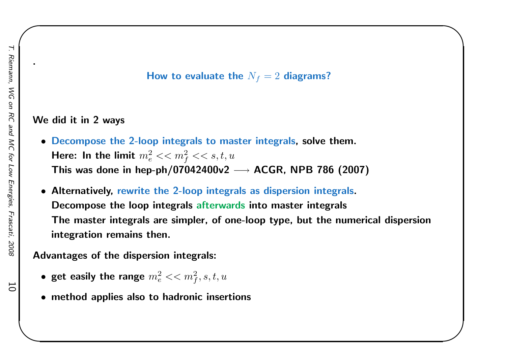### How to evaluate the  $N_f = 2$  diagrams?

 $\begin{matrix} \hline \end{matrix}$ 

### We did it in <sup>2</sup> ways

- Decompose the 2-loop integrals to master integrals, solve them. Here: In the limit  $m_e^2 << m_f^2 << s,t,u$ This was done in hep-ph/07042400v2  $\longrightarrow$  ACGR, NPB 786 (2007)
- Alternatively, rewrite the 2-loop integrals as dispersion integrals. Decompose the loop integrals afterwards into master integrals The master integrals are simpler, of one-loop type, but the numerical dispersionintegration remains then.

Advantages of the dispersion integrals:

- get easily the range  $m_e^2 << m_f^2, s, t, u$
- method applies also to hadronic insertions

10

.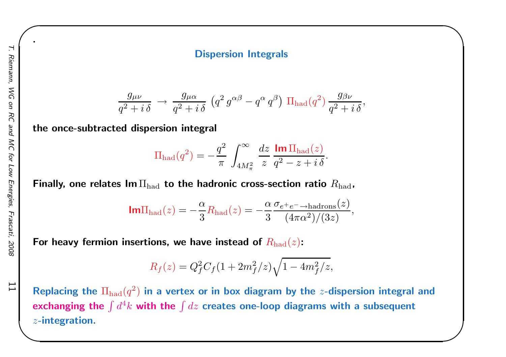#### Dispersion Integrals

 $\begin{matrix} \hline \end{matrix}$ 

$$
\frac{g_{\mu\nu}}{q^2+i\delta} \rightarrow \frac{g_{\mu\alpha}}{q^2+i\delta} \left( q^2 g^{\alpha\beta} - q^{\alpha} q^{\beta} \right) \Pi_{\text{had}}(q^2) \frac{g_{\beta\nu}}{q^2+i\delta},
$$

the once-subtracted dispersion integral

$$
\Pi_{\text{had}}(q^2) = -\frac{q^2}{\pi} \int_{4M_\pi^2}^{\infty} \frac{dz}{z} \frac{\text{Im}\,\Pi_{\text{had}}(z)}{q^2 - z + i\,\delta}.
$$

Finally, one relates  ${\sf Im}\,\Pi_{\rm had}$  to the hadronic cross-section ratio  $R_{\rm had}$ ,

$$
\text{Im}\Pi_{\text{had}}(z) = -\frac{\alpha}{3}R_{\text{had}}(z) = -\frac{\alpha}{3}\frac{\sigma_{e^+e^- \to \text{hadrons}}(z)}{(4\pi\alpha^2)/(3z)}
$$

,

For heavy fermion insertions, we have instead of  $R_{\rm had}(z)$ :

$$
R_f(z) = Q_f^2 C_f (1 + 2m_f^2/z) \sqrt{1 - 4m_f^2/z},
$$

Replacing the  $\Pi_{\rm had}(q^2)$  in a vertex or in box diagram by the  $z$ -dispersion integral and exchanging the  $\int d^4k$  with the  $\int dz$  creates one-loop diagrams with a subsequent z-integration.

11

.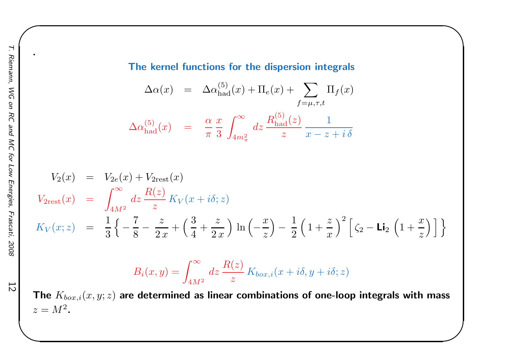.

The kernel functions for the dispersion integrals

 $\begin{matrix} \hline \end{matrix}$ 

$$
\Delta \alpha(x) = \Delta \alpha_{\text{had}}^{(5)}(x) + \Pi_e(x) + \sum_{f=\mu,\tau,t} \Pi_f(x)
$$

$$
\Delta \alpha_{\text{had}}^{(5)}(x) = \frac{\alpha}{\pi} \frac{x}{3} \int_{4m_\pi^2}^{\infty} dz \frac{R_{\text{had}}^{(5)}(z)}{z} \frac{1}{x - z + i\delta}
$$

$$
V_2(x) = V_{2e}(x) + V_{2rest}(x)
$$
  
\n
$$
V_{2rest}(x) = \int_{4M^2}^{\infty} dz \frac{R(z)}{z} K_V(x + i\delta; z)
$$
  
\n
$$
K_V(x; z) = \frac{1}{3} \left\{ -\frac{7}{8} - \frac{z}{2x} + \left( \frac{3}{4} + \frac{z}{2x} \right) \ln \left( -\frac{x}{z} \right) - \frac{1}{2} \left( 1 + \frac{z}{x} \right)^2 \left[ \zeta_2 - \text{Li}_2 \left( 1 + \frac{x}{z} \right) \right] \right\}
$$

$$
B_i(x,y) = \int_{4M^2}^{\infty} dz \, \frac{R(z)}{z} K_{box,i}(x+i\delta, y+i\delta; z)
$$

The  $K_{box,i}(x, y; z)$  are determined as linear combinations of one-loop integrals with mass  $z=M^2$  .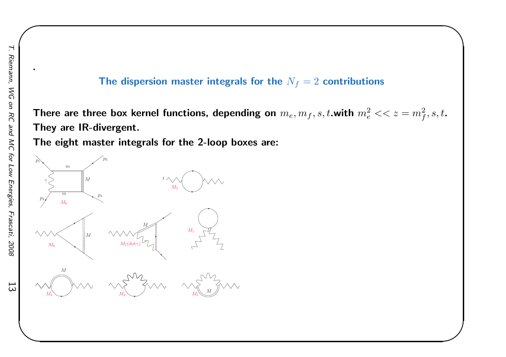13

.

### The dispersion master integrals for the  $N_f = 2$  contributions

 $\begin{matrix} \hline \end{matrix}$ 

There are three box kernel functions, depending on  $m_e, m_f, s, t.$ with  $m_e^2 << z = m_f^2, s, t.$ They are IR-divergent.

The eight master integrals for the 2-loop boxes are:

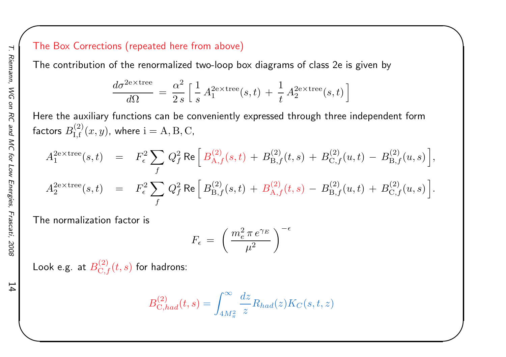### The Box Corrections (repeated here from above)

The contribution of the renormalized two-loop box diagrams of class 2e is <sup>g</sup>iven by

$$
\frac{d\sigma^{2e\times tree}}{d\Omega} = \frac{\alpha^2}{2s} \left[ \frac{1}{s} A_1^{2e\times tree}(s,t) + \frac{1}{t} A_2^{2e\times tree}(s,t) \right]
$$

 $\begin{matrix} \hline \end{matrix}$ 

Here the auxiliary functions can be conveniently expressed through three independent formfactors  $B^{(2)}_{{\rm I}, {\rm f}}(x,y)$ , where  ${\rm i=A,B,C,}$ 

$$
A_1^{2e \times tree}(s,t) = F_{\epsilon}^2 \sum_f Q_f^2 \text{ Re} \Big[ B_{A,f}^{(2)}(s,t) + B_{B,f}^{(2)}(t,s) + B_{C,f}^{(2)}(u,t) - B_{B,f}^{(2)}(u,s) \Big],
$$
  
\n
$$
A_2^{2e \times tree}(s,t) = F_{\epsilon}^2 \sum_f Q_f^2 \text{ Re} \Big[ B_{B,f}^{(2)}(s,t) + B_{A,f}^{(2)}(t,s) - B_{B,f}^{(2)}(u,t) + B_{C,f}^{(2)}(u,s) \Big].
$$

The normalization factor is

$$
F_{\epsilon} \ = \ \left(\,\frac{m_e^2 \,\pi \,e^{\gamma_E}}{\mu^2}\,\right)^{-\epsilon}
$$

Look e.g. at  $B_{{\rm C},f}^{(2)}(t,s)$  for hadrons:

$$
B_{\mathrm{C},had}^{(2)}(t,s)=\int_{4M_\pi^2}^\infty \frac{dz}{z}R_{had}(z)K_C(s,t,z)
$$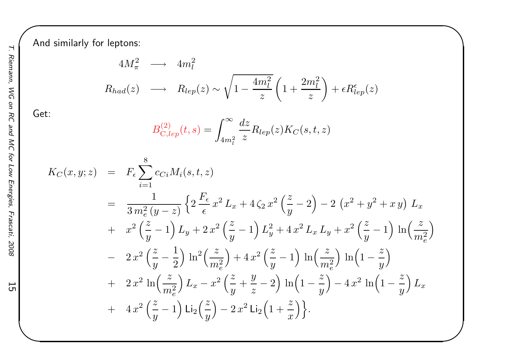And similarly for leptons:

$$
4M_{\pi}^{2} \longrightarrow 4m_{l}^{2}
$$
  
\n
$$
R_{had}(z) \longrightarrow R_{lep}(z) \sim \sqrt{1 - \frac{4m_{l}^{2}}{z}} \left(1 + \frac{2m_{l}^{2}}{z}\right) + \epsilon R_{lep}^{\epsilon}(z)
$$

 $\begin{matrix} \hline \end{matrix}$ 

Get:

$$
B_{C,lep}^{(2)}(t,s) = \int_{4m_l^2}^{\infty} \frac{dz}{z} R_{lep}(z) K_C(s,t,z)
$$

$$
K_C(x, y; z) = F_{\epsilon} \sum_{i=1}^{8} c_{Ci} M_i(s, t, z)
$$
  
\n
$$
= \frac{1}{3 m_e^2 (y - z)} \left\{ 2 \frac{F_{\epsilon}}{\epsilon} x^2 L_x + 4 \zeta_2 x^2 \left( \frac{z}{y} - 2 \right) - 2 \left( x^2 + y^2 + xy \right) L_x \right.
$$
  
\n
$$
+ x^2 \left( \frac{z}{y} - 1 \right) L_y + 2 x^2 \left( \frac{z}{y} - 1 \right) L_y^2 + 4 x^2 L_x L_y + x^2 \left( \frac{z}{y} - 1 \right) \ln \left( \frac{z}{m_e^2} \right)
$$
  
\n
$$
- 2 x^2 \left( \frac{z}{y} - \frac{1}{2} \right) \ln^2 \left( \frac{z}{m_e^2} \right) + 4 x^2 \left( \frac{z}{y} - 1 \right) \ln \left( \frac{z}{m_e^2} \right) \ln \left( 1 - \frac{z}{y} \right)
$$
  
\n
$$
+ 2 x^2 \ln \left( \frac{z}{m_e^2} \right) L_x - x^2 \left( \frac{z}{y} + \frac{y}{z} - 2 \right) \ln \left( 1 - \frac{z}{y} \right) - 4 x^2 \ln \left( 1 - \frac{z}{y} \right) L_x
$$
  
\n
$$
+ 4 x^2 \left( \frac{z}{y} - 1 \right) \text{Li}_2 \left( \frac{z}{y} \right) - 2 x^2 \text{Li}_2 \left( 1 + \frac{z}{x} \right) \right\}.
$$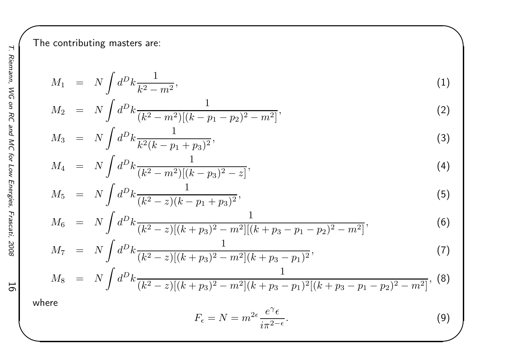The contributing masters are:

$$
M_1 = N \int d^D k \frac{1}{k^2 - m^2},\tag{1}
$$

$$
M_2 = N \int d^D k \frac{1}{(k^2 - m^2)[(k - p_1 - p_2)^2 - m^2]},
$$
\n(2)

$$
M_3 = N \int d^D k \frac{1}{k^2 (k - p_1 + p_3)^2},\tag{3}
$$

$$
M_4 = N \int d^D k \frac{1}{(k^2 - m^2)[(k - p_3)^2 - z]},
$$
\n(4)

$$
M_5 = N \int d^D k \frac{1}{(k^2 - z)(k - p_1 + p_3)^2},\tag{5}
$$

$$
M_6 = N \int d^D k \frac{1}{(k^2 - z)[(k + p_3)^2 - m^2][(k + p_3 - p_1 - p_2)^2 - m^2]},
$$
\n(6)

$$
M_7 = N \int d^D k \frac{1}{(k^2 - z)[(k + p_3)^2 - m^2](k + p_3 - p_1)^2},
$$
\n(7)

$$
M_8 = N \int d^D k \frac{1}{(k^2 - z)[(k + p_3)^2 - m^2](k + p_3 - p_1)^2 [(k + p_3 - p_1 - p_2)^2 - m^2]}, \tag{8}
$$

where

$$
F_{\epsilon} = N = m^{2\epsilon} \frac{e^{\gamma} \epsilon}{i\pi^{2-\epsilon}}.
$$
\n(9)

 $\begin{matrix} \hline \end{matrix}$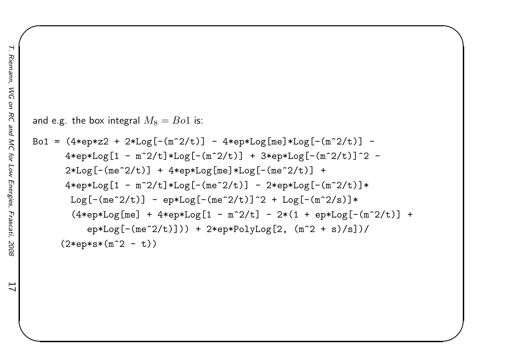17

```
and e.g. the box integral M_8=Bo1 is:
Bo1 = (4*ep*z2 + 2*Log[-(m^2/t)] - 4*ep*Log[me]*Log[-(m^2/t)] -4*ep*Log[1 - m^2/t]*Log[-(m^2/t)] + 3*ep*Log[-(m^2/t)]^2 -2*Log[-(me^2/t)] + 4*ep*Log[me]*Log[-(me^2/t)] +4*ep*Log[1 - m^2/t]*Log[-(me^2/t)] - 2*ep*Log[-(m^2/t)]
*Log[-(me^2/t)] - ep*Log[-(me^2/t)]^2 + Log[-(m^2/s)]*
       (4*ep*Log[me] + 4*ep*Log[1 - m^2/t] - 2*(1 + ep*Log[-(m^2/t)] +ep*Log[-(me^2/t)]) + 2*ep*PolyLog[2, (m^2 + s)/s]/(2*ep*s*(m^2 - t))
```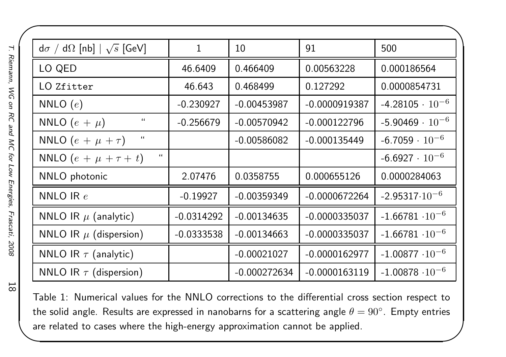| $d\sigma / d\Omega$ [nb] $\sqrt{s}$ [GeV] | $\mathbf 1$  | 10             | 91              | 500                      |
|-------------------------------------------|--------------|----------------|-----------------|--------------------------|
| LO QED                                    | 46.6409      | 0.466409       | 0.00563228      | 0.000186564              |
| LO Zfitter                                | 46.643       | 0.468499       | 0.127292        | 0.0000854731             |
| NNLO $(e)$                                | $-0.230927$  | $-0.00453987$  | $-0.0000919387$ | $-4.28105 \cdot 10^{-6}$ |
| $\iota\iota$<br>NNLO $(e + \mu)$          | $-0.256679$  | $-0.00570942$  | $-0.000122796$  | $-5.90469 \cdot 10^{-6}$ |
| $\iota$<br>NNLO $(e + \mu + \tau)$        |              | $-0.00586082$  | $-0.000135449$  | $-6.7059 \cdot 10^{-6}$  |
| $\sqrt{4}$<br>NNLO $(e + \mu + \tau + t)$ |              |                |                 | $-6.6927 \cdot 10^{-6}$  |
| NNLO photonic                             | 2.07476      | 0.0358755      | 0.000655126     | 0.0000284063             |
| NNLO IR $e$                               | $-0.19927$   | $-0.00359349$  | $-0.0000672264$ | $-2.95317 \cdot 10^{-6}$ |
| NNLO IR $\mu$ (analytic)                  | $-0.0314292$ | $-0.00134635$  | $-0.0000335037$ | $-1.66781 \cdot 10^{-6}$ |
| NNLO IR $\mu$ (dispersion)                | $-0.0333538$ | $-0.00134663$  | $-0.0000335037$ | $-1.66781 \cdot 10^{-6}$ |
| NNLO IR $\tau$ (analytic)                 |              | $-0.00021027$  | $-0.0000162977$ | $-1.00877 \cdot 10^{-6}$ |
| NNLO IR $\tau$ (dispersion)               |              | $-0.000272634$ | $-0.0000163119$ | $-1.00878 \cdot 10^{-6}$ |

Table 1: Numerical values for the NNLO corrections to the differential cross section respect tothe solid angle. Results are expressed in nanobarns for a scattering angle  $\theta=90^\circ$ . Empty entries are related to cases where the high-energy approximation cannot be applied.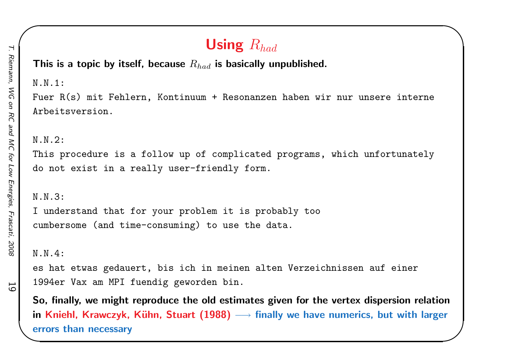This is a topic by itself, because  $R_{had}$  is basically unpublished. N.N.1:Fuer R(s) mit Fehlern, Kontinuum <sup>+</sup> Resonanzen haben wir nur unsere interne Arbeitsversion.N.N.2:This procedure is <sup>a</sup> follow up of complicated programs, which unfortunately do not exist in <sup>a</sup> really user-friendly form. N.N.3:<sup>I</sup> understand that for your problem it is probably too cumbersome (and time-consuming) to use the data. N.N.4:es hat etwas gedauert, bis ich in meinen alten Verzeichnissen auf einer 1994er Vax am MPI fuendig geworden bin.

So, finally, we might reproduce the old estimates <sup>g</sup>iven for the vertex dispersion relationin Kniehl, Krawczyk, Kühn, Stuart (1988) → finally we have numerics, but with larger<br>~~~~~ then resesses errors than necessary

Using  $R_{had}$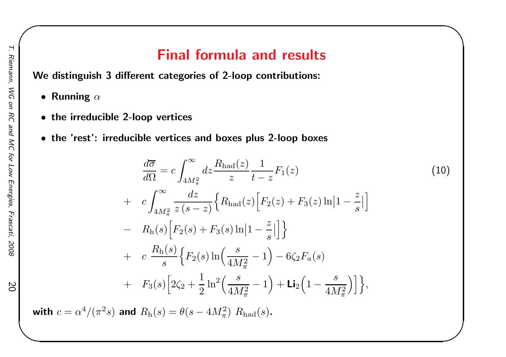## Final formula and results

We distinguish <sup>3</sup> different categories of 2-loop contributions:

- $\bullet$  Running  $\alpha$
- the irreducible 2-loop vertices
- the 'rest': irreducible vertices and boxes plus 2-loop boxes

$$
\frac{d\overline{\sigma}}{d\Omega} = c \int_{4M_{\pi}^{2}}^{\infty} dz \frac{R_{\text{had}}(z)}{z} \frac{1}{t - z} F_{1}(z) \tag{10}
$$
\n
$$
+ c \int_{4M_{\pi}^{2}}^{\infty} \frac{dz}{z (s - z)} \Big\{ R_{\text{had}}(z) \Big[ F_{2}(z) + F_{3}(z) \ln |1 - \frac{z}{s}| \Big] \Big\}
$$
\n
$$
- R_{\text{h}}(s) \Big[ F_{2}(s) + F_{3}(s) \ln |1 - \frac{z}{s}| \Big] \Big\}
$$
\n
$$
+ c \frac{R_{\text{h}}(s)}{s} \Big\{ F_{2}(s) \ln \Big( \frac{s}{4M_{\pi}^{2}} - 1 \Big) - 6 \zeta_{2} F_{a}(s)
$$
\n
$$
+ F_{3}(s) \Big[ 2\zeta_{2} + \frac{1}{2} \ln^{2} \Big( \frac{s}{4M_{\pi}^{2}} - 1 \Big) + \text{Li}_{2} \Big( 1 - \frac{s}{4M_{\pi}^{2}} \Big) \Big] \Big\},
$$
\n(10)

 $\begin{matrix} \hline \end{matrix}$ 

with  $c = \alpha^4/(\pi^2 s)$  and  $R_{\text{h}}(s) = \theta(s - 4M_\pi^2)$   $R_{\text{had}}(s)$ .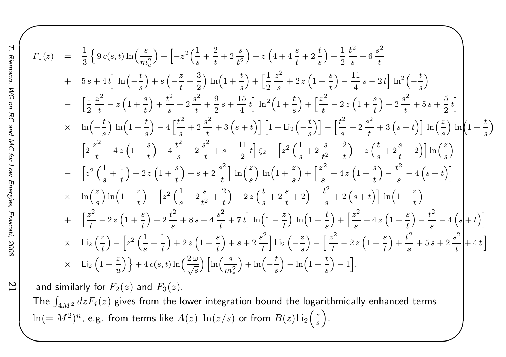$$
F_{1}(z) = \frac{1}{3} \left\{ 9 \bar{c}(s,t) \ln\left(\frac{s}{m_{e}^{2}}\right) + \left[ -z^{2}\left(\frac{1}{s} + \frac{2}{t} + 2\frac{s}{t^{2}}\right) + z\left(4 + 4\frac{s}{t} + 2\frac{t}{s}\right) + \frac{1}{2}\frac{t^{2}}{s} + 6\frac{s^{2}}{t^{2}}
$$
  
+  $5s + 4t \right] \ln\left(-\frac{t}{s}\right) + s\left(-\frac{z}{t} + \frac{3}{2}\right) \ln\left(1 + \frac{t}{s}\right) + \left[\frac{1}{2}\frac{z^{2}}{s} + 2z\left(1 + \frac{s}{t}\right) - \frac{11}{4}s - 2t\right] \ln^{2}\left(-\frac{t}{s}\right)$   
-  $\left[\frac{1}{2}\frac{z^{2}}{t} - z\left(1 + \frac{s}{t}\right) + \frac{t^{2}}{s} + 2\frac{s^{2}}{t} + \frac{9}{2}s + \frac{15}{4}t\right] \ln^{2}\left(1 + \frac{t}{s}\right) + \left[\frac{z^{2}}{t} - 2z\left(1 + \frac{s}{t}\right) + 2\frac{s^{2}}{t} + 5s + \frac{5}{2}t\right]$   
 $\times \ln\left(-\frac{t}{s}\right) \ln\left(1 + \frac{t}{s}\right) - 4\left[\frac{t^{2}}{s} + 2\frac{s^{2}}{t} + 3\left(s + t\right)\right] \left[1 + \text{Li}_{2}\left(-\frac{t}{s}\right)\right] - \left[\frac{t^{2}}{s} + 2\frac{s^{2}}{t} + 3\left(s + t\right)\right] \ln\left(\frac{z}{s}\right) \ln\left(1 + \frac{t}{s}\right)$   
-  $\left[2\frac{z^{2}}{t} - 4z\left(1 + \frac{s}{t}\right) - 4\frac{t^{2}}{s} - 2\frac{s^{2}}{t} + s - \frac{11}{2}t\right] \zeta_{2} + \left[z^{2}\left(\frac{1}{s} + 2\frac{s}{t^{2}} + \frac{2}{t}\right) - z\left(\frac{t}{s} + 2\frac{s}{t} + 2\right)\right] \ln\left(\$ 

and similarly for  $F_2(z)$  and  $F_3(z).$ The  $\int_{4M^2} dz F_i(z)$  gives from the lower integration bound the logarithmically enhanced terms  $ln(=M^2)$  $^n$ , e.g. from terms like  $A(z)\ \ln(z/s)$  or from  $B(z)$ Li $_2\Big(\frac{z}{s}\Big)$ .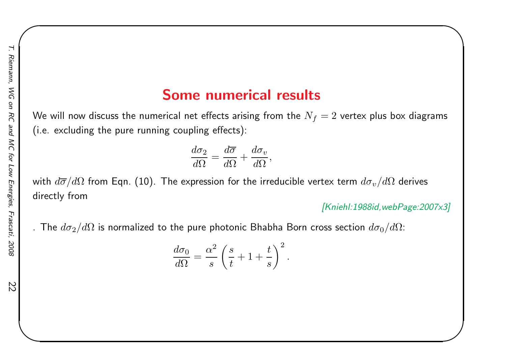### Some numerical results

We will now discuss the numerical net effects arising from the  $N_f = 2$  vertex plus box diagrams (i.e. excluding the pure running coupling effects):

$$
\frac{d\sigma_2}{d\Omega} = \frac{d\overline{\sigma}}{d\Omega} + \frac{d\sigma_v}{d\Omega},
$$

with  $d\overline{\sigma}/d\Omega$  from Eqn. (10). The expression for the irreducible vertex term  $d\sigma_v/d\Omega$  derives<br>... directly from

[Kniehl:1988id,webPage:2007x3]

 $\begin{matrix} \hline \end{matrix}$ 

. The  $d\sigma_2/d\Omega$  is normalized to the pure photonic Bhabha Born cross section  $d\sigma_0/d\Omega$ :

$$
\frac{d\sigma_0}{d\Omega} = \frac{\alpha^2}{s} \left(\frac{s}{t} + 1 + \frac{t}{s}\right)^2
$$

.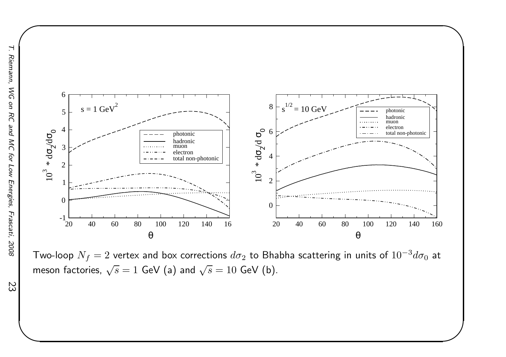

 $\sqrt{2}$ 



 $\begin{matrix} \hline \end{matrix}$ 

Two-loop  $N_f=2$  vertex and box corrections  $d\sigma_2$  to Bhabha scattering in units of  $10^{-3}d\sigma_0$  at meson factories,  $\sqrt{s}=1$  GeV (a) and  $\sqrt{s}=10$  GeV (b).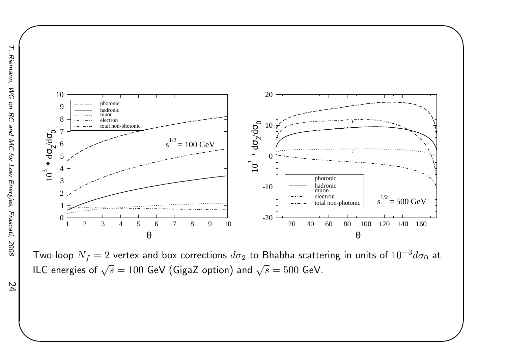

Two-loop  $N_f=2$  vertex and box corrections  $d\sigma_2$  to Bhabha scattering in units of  $10^{-3}d\sigma_0$  at ILC energies of  $\sqrt{s}=100$  GeV (GigaZ option) and  $\sqrt{s}=500$  GeV.